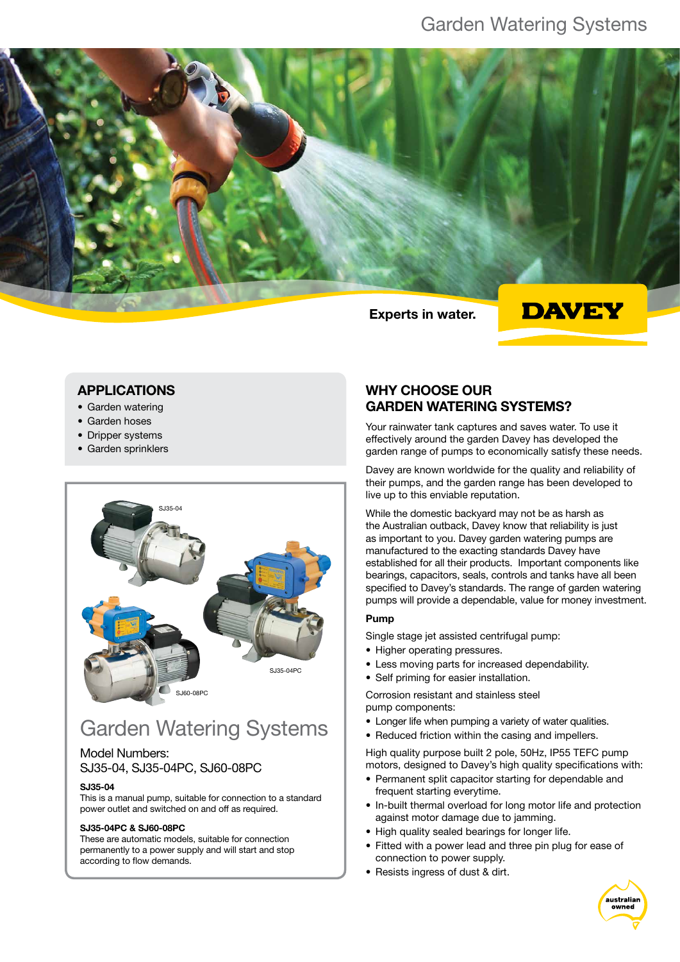

## **DAVEY**

### APPLICATIONS

- Garden watering
- Garden hoses
- Dripper systems
- Garden sprinklers



# Garden Watering Systems

### Model Numbers: SJ35-04, SJ35-04PC, SJ60-08PC

#### SJ35-04

This is a manual pump, suitable for connection to a standard power outlet and switched on and off as required.

#### SJ35-04PC & SJ60-08PC

These are automatic models, suitable for connection permanently to a power supply and will start and stop according to flow demands.

### WHY CHOOSE OUR GARDEN WATERING SYSTEMS?

Your rainwater tank captures and saves water. To use it effectively around the garden Davey has developed the garden range of pumps to economically satisfy these needs.

Davey are known worldwide for the quality and reliability of their pumps, and the garden range has been developed to live up to this enviable reputation.

While the domestic backyard may not be as harsh as the Australian outback, Davey know that reliability is just as important to you. Davey garden watering pumps are manufactured to the exacting standards Davey have established for all their products. Important components like bearings, capacitors, seals, controls and tanks have all been specified to Davey's standards. The range of garden watering pumps will provide a dependable, value for money investment.

#### Pump

Single stage jet assisted centrifugal pump:

- Higher operating pressures.
- Less moving parts for increased dependability.
- • Self priming for easier installation.

Corrosion resistant and stainless steel pump components:

- Longer life when pumping a variety of water qualities.
- Reduced friction within the casing and impellers.

High quality purpose built 2 pole, 50Hz, IP55 TEFC pump motors, designed to Davey's high quality specifications with:

- Permanent split capacitor starting for dependable and frequent starting everytime.
- In-built thermal overload for long motor life and protection against motor damage due to jamming.
- High quality sealed bearings for longer life.
- Fitted with a power lead and three pin plug for ease of connection to power supply.
- Resists ingress of dust & dirt.